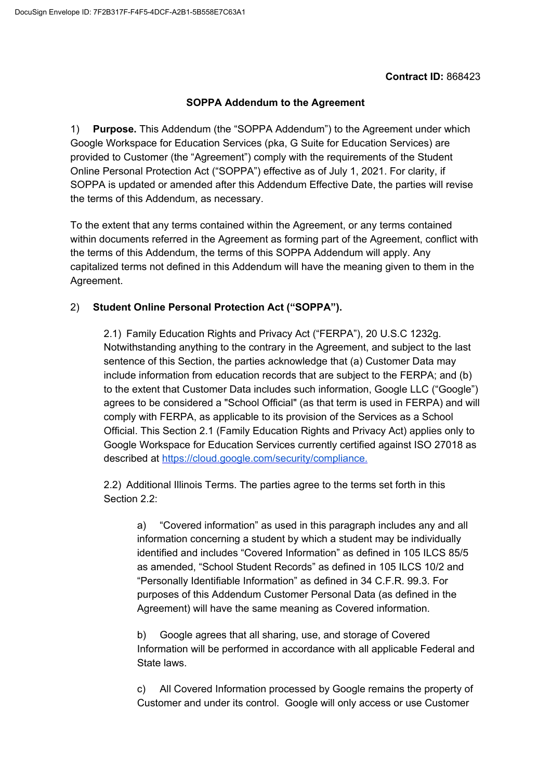## **Contract ID:** 868423

## **SOPPA Addendum to the Agreement**

1) **Purpose.** This Addendum (the "SOPPA Addendum") to the Agreement under which Google Workspace for Education Services (pka, G Suite for Education Services) are provided to Customer (the "Agreement") comply with the requirements of the Student Online Personal Protection Act ("SOPPA") effective as of July 1, 2021. For clarity, if SOPPA is updated or amended after this Addendum Effective Date, the parties will revise the terms of this Addendum, as necessary.

To the extent that any terms contained within the Agreement, or any terms contained within documents referred in the Agreement as forming part of the Agreement, conflict with the terms of this Addendum, the terms of this SOPPA Addendum will apply. Any capitalized terms not defined in this Addendum will have the meaning given to them in the Agreement.

## 2) **Student Online Personal Protection Act ("SOPPA").**

2.1) Family Education Rights and Privacy Act ("FERPA"), 20 U.S.C 1232g. Notwithstanding anything to the contrary in the Agreement, and subject to the last sentence of this Section, the parties acknowledge that (a) Customer Data may include information from education records that are subject to the FERPA; and (b) to the extent that Customer Data includes such information, Google LLC ("Google") agrees to be considered a "School Official" (as that term is used in FERPA) and will comply with FERPA, as applicable to its provision of the Services as a School Official. This Section 2.1 (Family Education Rights and Privacy Act) applies only to Google Workspace for Education Services currently certified against ISO 27018 as described at [https://cloud.google.com/security/compliance.](https://cloud.google.com/security/compliance)

2.2) Additional Illinois Terms. The parties agree to the terms set forth in this Section 2.2:

a) "Covered information" as used in this paragraph includes any and all information concerning a student by which a student may be individually identified and includes "Covered Information" as defined in 105 ILCS 85/5 as amended, "School Student Records" as defined in 105 ILCS 10/2 and "Personally Identifiable Information" as defined in 34 C.F.R. 99.3. For purposes of this Addendum Customer Personal Data (as defined in the Agreement) will have the same meaning as Covered information.

b) Google agrees that all sharing, use, and storage of Covered Information will be performed in accordance with all applicable Federal and State laws.

c) All Covered Information processed by Google remains the property of Customer and under its control. Google will only access or use Customer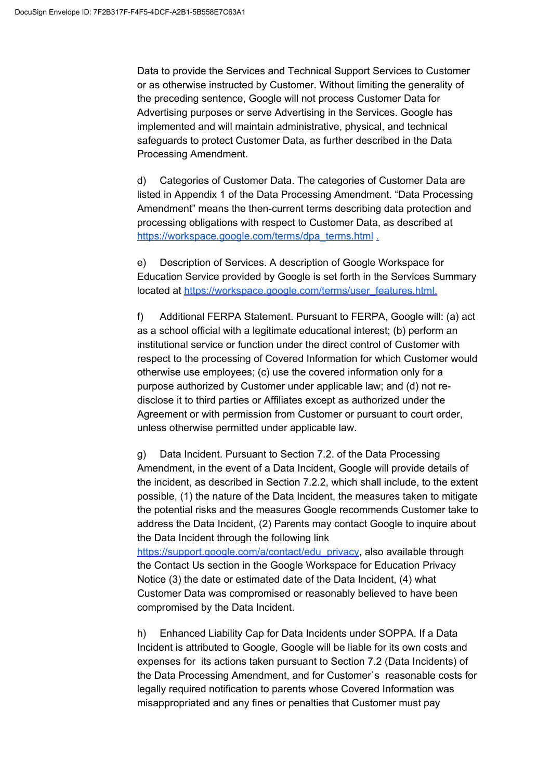Data to provide the Services and Technical Support Services to Customer or as otherwise instructed by Customer. Without limiting the generality of the preceding sentence, Google will not process Customer Data for Advertising purposes or serve Advertising in the Services. Google has implemented and will maintain administrative, physical, and technical safeguards to protect Customer Data, as further described in the Data Processing Amendment.

d) Categories of Customer Data. The categories of Customer Data are listed in Appendix 1 of the Data Processing Amendment. "Data Processing Amendment" means the then-current terms describing data protection and processing obligations with respect to Customer Data, as described at [https://workspace.google.com/terms/dpa\\_terms.html](https://workspace.google.com/terms/dpa_terms.html) [.](https://gsuite.google.com/terms/dpa_terms.html)

e) Description of Services. A description of Google Workspace for Education Service provided by Google is set forth in the Services Summary located at [https://workspace.google.com/terms/user\\_features.html.](https://workspace.google.com/terms/user_features.html)

f) Additional FERPA Statement. Pursuant to FERPA, Google will: (a) act as a school official with a legitimate educational interest; (b) perform an institutional service or function under the direct control of Customer with respect to the processing of Covered Information for which Customer would otherwise use employees; (c) use the covered information only for a purpose authorized by Customer under applicable law; and (d) not redisclose it to third parties or Affiliates except as authorized under the Agreement or with permission from Customer or pursuant to court order, unless otherwise permitted under applicable law.

g) Data Incident. Pursuant to Section 7.2. of the Data Processing Amendment, in the event of a Data Incident, Google will provide details of the incident, as described in Section 7.2.2, which shall include, to the extent possible, (1) the nature of the Data Incident, the measures taken to mitigate the potential risks and the measures Google recommends Customer take to address the Data Incident, (2) Parents may contact Google to inquire about the Data Incident through the following link

[https://support.google.com/a/contact/edu\\_privacy,](https://support.google.com/a/contact/edu_privacy) also available through the Contact Us section in the Google Workspace for Education Privacy Notice (3) the date or estimated date of the Data Incident, (4) what Customer Data was compromised or reasonably believed to have been compromised by the Data Incident.

h) Enhanced Liability Cap for Data Incidents under SOPPA. If a Data Incident is attributed to Google, Google will be liable for its own costs and expenses for its actions taken pursuant to Section 7.2 (Data Incidents) of the Data Processing Amendment, and for Customer`s reasonable costs for legally required notification to parents whose Covered Information was misappropriated and any fines or penalties that Customer must pay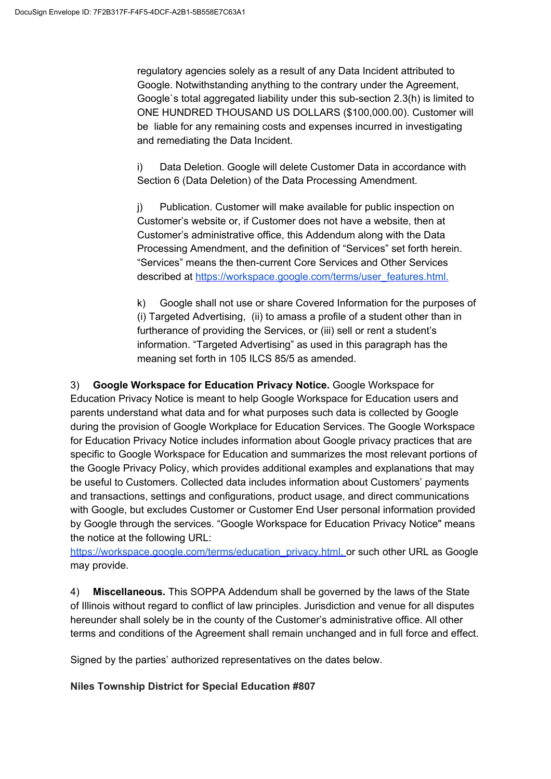regulatory agencies solely as a result of any Data Incident attributed to Google. Notwithstanding anything to the contrary under the Agreement, Google`s total aggregated liability under this sub-section 2.3(h) is limited to ONE HUNDRED THOUSAND US DOLLARS (\$100,000.00). Customer will be liable for any remaining costs and expenses incurred in investigating and remediating the Data Incident.

i) Data Deletion. Google will delete Customer Data in accordance with Section 6 (Data Deletion) of the Data Processing Amendment.

j) Publication. Customer will make available for public inspection on Customer's website or, if Customer does not have a website, then at Customer's administrative office, this Addendum along with the Data Processing Amendment, and the definition of "Services" set forth herein. "Services" means the then-current Core Services and Other Services described at [https://workspace.google.com/terms/user\\_features.html.](https://workspace.google.com/terms/user_features.html)

k) Google shall not use or share Covered Information for the purposes of (i) Targeted Advertising, (ii) to amass a profile of a student other than in furtherance of providing the Services, or (iii) sell or rent a student's information. "Targeted Advertising" as used in this paragraph has the meaning set forth in 105 ILCS 85/5 as amended.

3) **Google Workspace for Education Privacy Notice.** Google Workspace for Education Privacy Notice is meant to help Google Workspace for Education users and parents understand what data and for what purposes such data is collected by Google during the provision of Google Workplace for Education Services. The Google Workspace for Education Privacy Notice includes information about Google privacy practices that are specific to Google Workspace for Education and summarizes the most relevant portions of the Google Privacy Policy, which provides additional examples and explanations that may be useful to Customers. Collected data includes information about Customers' payments and transactions, settings and configurations, product usage, and direct communications with Google, but excludes Customer or Customer End User personal information provided by Google through the services. "Google Workspace for Education Privacy Notice" means the notice at the following URL:

[https://workspace.google.com/terms/education\\_privacy.html](https://workspace.google.com/terms/education_privacy.html)[,](https://workspace.google.com/terms/education_privacy.htmll) or such other URL as Google may provide.

4) **Miscellaneous.** This SOPPA Addendum shall be governed by the laws of the State of Illinois without regard to conflict of law principles. Jurisdiction and venue for all disputes hereunder shall solely be in the county of the Customer's administrative office. All other terms and conditions of the Agreement shall remain unchanged and in full force and effect.

Signed by the parties' authorized representatives on the dates below.

**Niles Township District for Special Education #807**